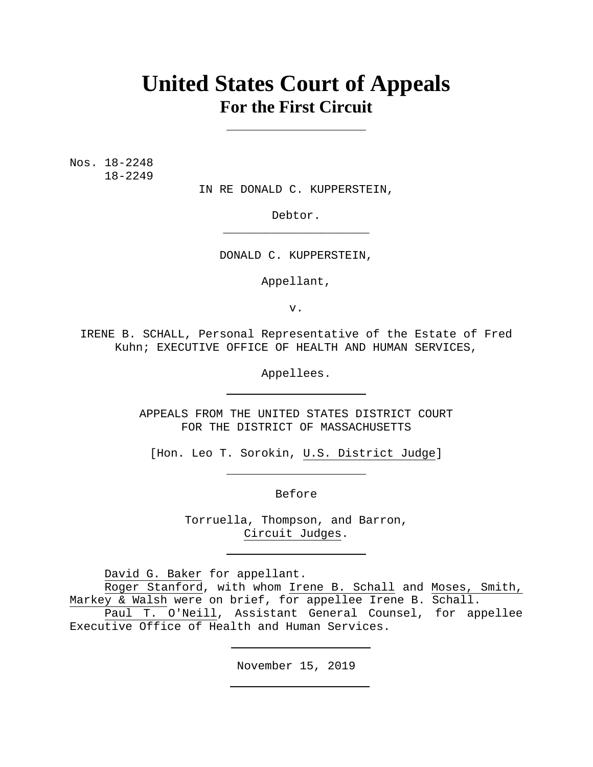# **United States Court of Appeals For the First Circuit**

Nos. 18-2248 18-2249

IN RE DONALD C. KUPPERSTEIN,

Debtor. \_\_\_\_\_\_\_\_\_\_\_\_\_\_\_\_\_\_\_\_\_

DONALD C. KUPPERSTEIN,

Appellant,

v.

IRENE B. SCHALL, Personal Representative of the Estate of Fred Kuhn; EXECUTIVE OFFICE OF HEALTH AND HUMAN SERVICES,

Appellees.

APPEALS FROM THE UNITED STATES DISTRICT COURT FOR THE DISTRICT OF MASSACHUSETTS

[Hon. Leo T. Sorokin, U.S. District Judge]

Before

Torruella, Thompson, and Barron, Circuit Judges.

David G. Baker for appellant.

Roger Stanford, with whom Irene B. Schall and Moses, Smith, Markey & Walsh were on brief, for appellee Irene B. Schall.

Paul T. O'Neill, Assistant General Counsel, for appellee Executive Office of Health and Human Services.

November 15, 2019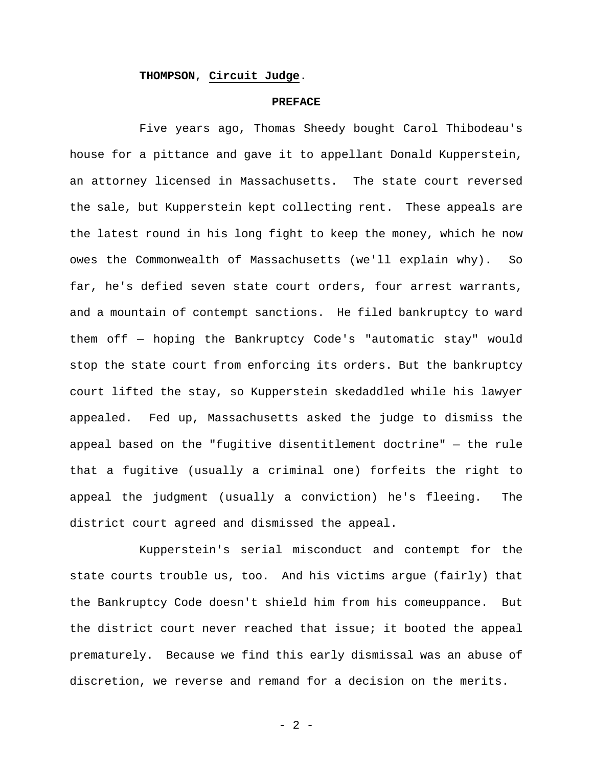# **THOMPSON**, **Circuit Judge**.

#### **PREFACE**

Five years ago, Thomas Sheedy bought Carol Thibodeau's house for a pittance and gave it to appellant Donald Kupperstein, an attorney licensed in Massachusetts. The state court reversed the sale, but Kupperstein kept collecting rent. These appeals are the latest round in his long fight to keep the money, which he now owes the Commonwealth of Massachusetts (we'll explain why). So far, he's defied seven state court orders, four arrest warrants, and a mountain of contempt sanctions. He filed bankruptcy to ward them off — hoping the Bankruptcy Code's "automatic stay" would stop the state court from enforcing its orders. But the bankruptcy court lifted the stay, so Kupperstein skedaddled while his lawyer appealed. Fed up, Massachusetts asked the judge to dismiss the appeal based on the "fugitive disentitlement doctrine" — the rule that a fugitive (usually a criminal one) forfeits the right to appeal the judgment (usually a conviction) he's fleeing. The district court agreed and dismissed the appeal.

Kupperstein's serial misconduct and contempt for the state courts trouble us, too. And his victims argue (fairly) that the Bankruptcy Code doesn't shield him from his comeuppance. But the district court never reached that issue; it booted the appeal prematurely. Because we find this early dismissal was an abuse of discretion, we reverse and remand for a decision on the merits.

- 2 -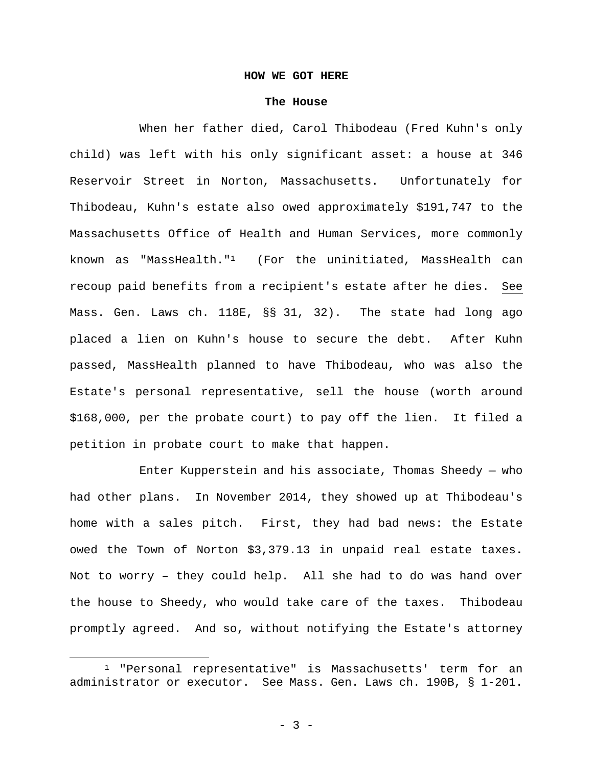# **HOW WE GOT HERE**

#### **The House**

When her father died, Carol Thibodeau (Fred Kuhn's only child) was left with his only significant asset: a house at 346 Reservoir Street in Norton, Massachusetts. Unfortunately for Thibodeau, Kuhn's estate also owed approximately \$191,747 to the Massachusetts Office of Health and Human Services, more commonly known as "MassHealth." $1$  (For the uninitiated, MassHealth can recoup paid benefits from a recipient's estate after he dies. See Mass. Gen. Laws ch. 118E, §§ 31, 32). The state had long ago placed a lien on Kuhn's house to secure the debt. After Kuhn passed, MassHealth planned to have Thibodeau, who was also the Estate's personal representative, sell the house (worth around \$168,000, per the probate court) to pay off the lien. It filed a petition in probate court to make that happen.

Enter Kupperstein and his associate, Thomas Sheedy  $-$  who had other plans. In November 2014, they showed up at Thibodeau's home with a sales pitch. First, they had bad news: the Estate owed the Town of Norton \$3,379.13 in unpaid real estate taxes**.** Not to worry – they could help. All she had to do was hand over the house to Sheedy, who would take care of the taxes. Thibodeau promptly agreed. And so, without notifying the Estate's attorney

<sup>1 &</sup>quot;Personal representative" is Massachusetts' term for an administrator or executor. See Mass. Gen. Laws ch. 190B, § 1-201.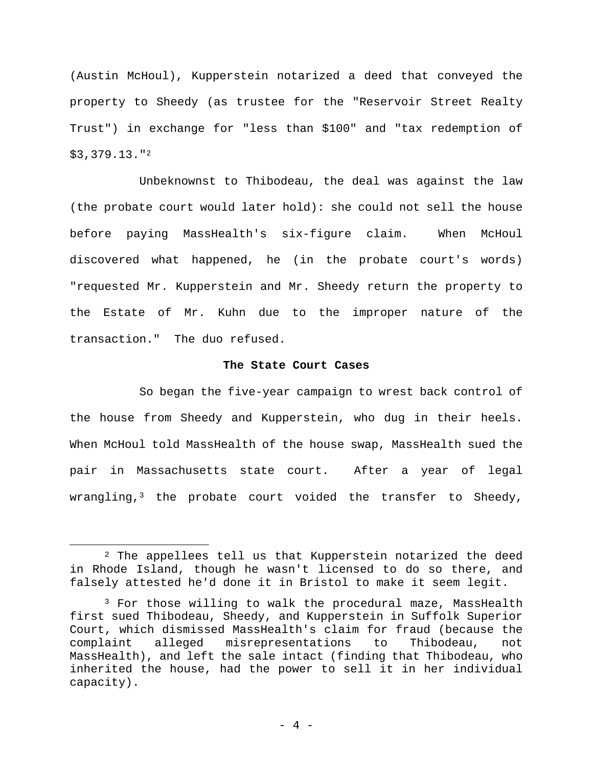(Austin McHoul), Kupperstein notarized a deed that conveyed the property to Sheedy (as trustee for the "Reservoir Street Realty Trust") in exchange for "less than \$100" and "tax redemption of \$3,379.13."2

Unbeknownst to Thibodeau, the deal was against the law (the probate court would later hold): she could not sell the house before paying MassHealth's six-figure claim. When McHoul discovered what happened, he (in the probate court's words) "requested Mr. Kupperstein and Mr. Sheedy return the property to the Estate of Mr. Kuhn due to the improper nature of the transaction." The duo refused.

## **The State Court Cases**

So began the five-year campaign to wrest back control of the house from Sheedy and Kupperstein, who dug in their heels. When McHoul told MassHealth of the house swap, MassHealth sued the pair in Massachusetts state court. After a year of legal wrangling,<sup>3</sup> the probate court voided the transfer to Sheedy,

<sup>2</sup> The appellees tell us that Kupperstein notarized the deed in Rhode Island, though he wasn't licensed to do so there, and falsely attested he'd done it in Bristol to make it seem legit.

<sup>&</sup>lt;sup>3</sup> For those willing to walk the procedural maze, MassHealth first sued Thibodeau, Sheedy, and Kupperstein in Suffolk Superior Court, which dismissed MassHealth's claim for fraud (because the complaint alleged misrepresentations to Thibodeau, not MassHealth), and left the sale intact (finding that Thibodeau, who inherited the house, had the power to sell it in her individual capacity).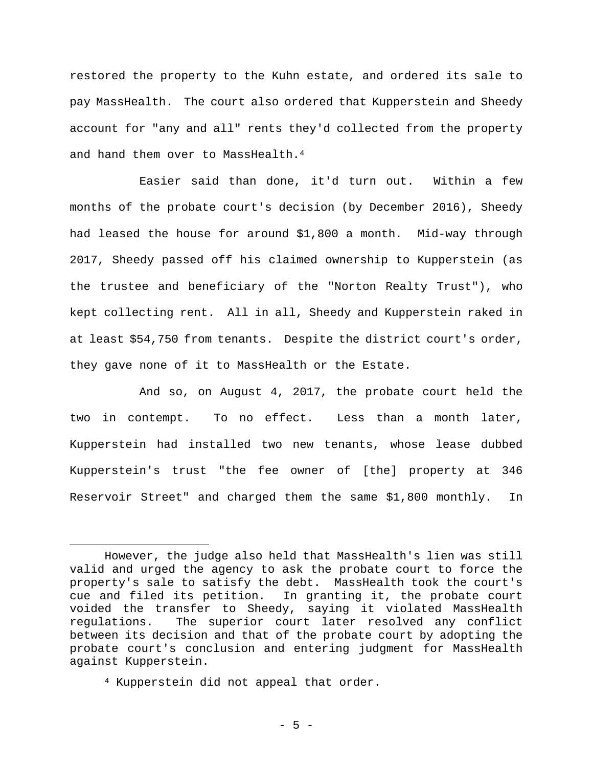restored the property to the Kuhn estate, and ordered its sale to pay MassHealth. The court also ordered that Kupperstein and Sheedy account for "any and all" rents they'd collected from the property and hand them over to MassHealth.<sup>4</sup>

Easier said than done, it'd turn out. Within a few months of the probate court's decision (by December 2016), Sheedy had leased the house for around \$1,800 a month. Mid-way through 2017, Sheedy passed off his claimed ownership to Kupperstein (as the trustee and beneficiary of the "Norton Realty Trust"), who kept collecting rent. All in all, Sheedy and Kupperstein raked in at least \$54,750 from tenants. Despite the district court's order, they gave none of it to MassHealth or the Estate.

 And so, on August 4, 2017, the probate court held the two in contempt. To no effect. Less than a month later, Kupperstein had installed two new tenants, whose lease dubbed Kupperstein's trust "the fee owner of [the] property at 346 Reservoir Street" and charged them the same \$1,800 monthly. In

However, the judge also held that MassHealth's lien was still valid and urged the agency to ask the probate court to force the property's sale to satisfy the debt. MassHealth took the court's cue and filed its petition. In granting it, the probate court voided the transfer to Sheedy, saying it violated MassHealth regulations. The superior court later resolved any conflict between its decision and that of the probate court by adopting the probate court's conclusion and entering judgment for MassHealth against Kupperstein.

<sup>4</sup> Kupperstein did not appeal that order.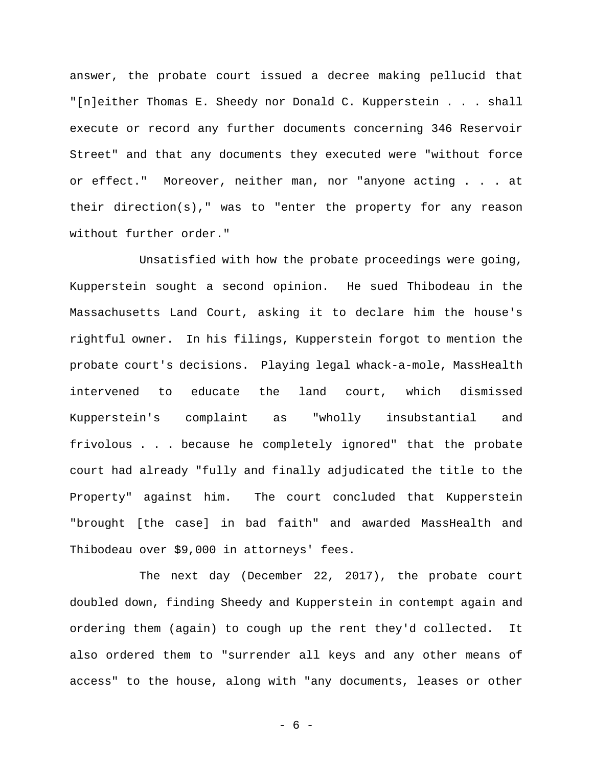answer, the probate court issued a decree making pellucid that "[n]either Thomas E. Sheedy nor Donald C. Kupperstein . . . shall execute or record any further documents concerning 346 Reservoir Street" and that any documents they executed were "without force or effect."Moreover, neither man, nor "anyone acting . . . at their direction(s)," was to "enter the property for any reason without further order."

Unsatisfied with how the probate proceedings were going, Kupperstein sought a second opinion. He sued Thibodeau in the Massachusetts Land Court, asking it to declare him the house's rightful owner. In his filings, Kupperstein forgot to mention the probate court's decisions. Playing legal whack-a-mole, MassHealth intervened to educate the land court, which dismissed Kupperstein's complaint as "wholly insubstantial and frivolous . . . because he completely ignored" that the probate court had already "fully and finally adjudicated the title to the Property" against him. The court concluded that Kupperstein "brought [the case] in bad faith" and awarded MassHealth and Thibodeau over \$9,000 in attorneys' fees.

The next day (December 22, 2017), the probate court doubled down, finding Sheedy and Kupperstein in contempt again and ordering them (again) to cough up the rent they'd collected. It also ordered them to "surrender all keys and any other means of access" to the house, along with "any documents, leases or other

- 6 -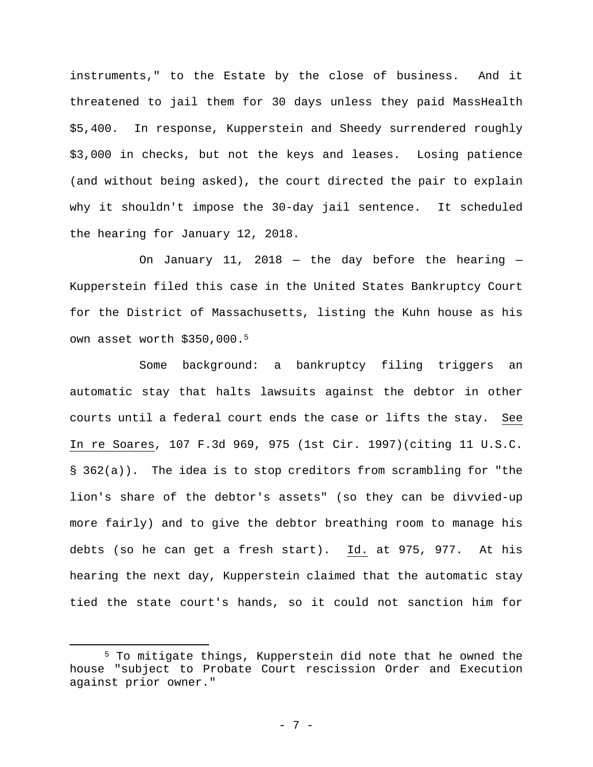instruments," to the Estate by the close of business. And it threatened to jail them for 30 days unless they paid MassHealth \$5,400. In response, Kupperstein and Sheedy surrendered roughly \$3,000 in checks, but not the keys and leases. Losing patience (and without being asked), the court directed the pair to explain why it shouldn't impose the 30-day jail sentence. It scheduled the hearing for January 12, 2018.

On January 11, 2018 – the day before the hearing  $-$ Kupperstein filed this case in the United States Bankruptcy Court for the District of Massachusetts, listing the Kuhn house as his own asset worth \$350,000.5

Some background: a bankruptcy filing triggers an automatic stay that halts lawsuits against the debtor in other courts until a federal court ends the case or lifts the stay. See In re Soares, 107 F.3d 969, 975 (1st Cir. 1997)(citing 11 U.S.C. § 362(a)). The idea is to stop creditors from scrambling for "the lion's share of the debtor's assets" (so they can be divvied-up more fairly) and to give the debtor breathing room to manage his debts (so he can get a fresh start). Id. at 975, 977. At his hearing the next day, Kupperstein claimed that the automatic stay tied the state court's hands, so it could not sanction him for

<sup>5</sup> To mitigate things, Kupperstein did note that he owned the house "subject to Probate Court rescission Order and Execution against prior owner."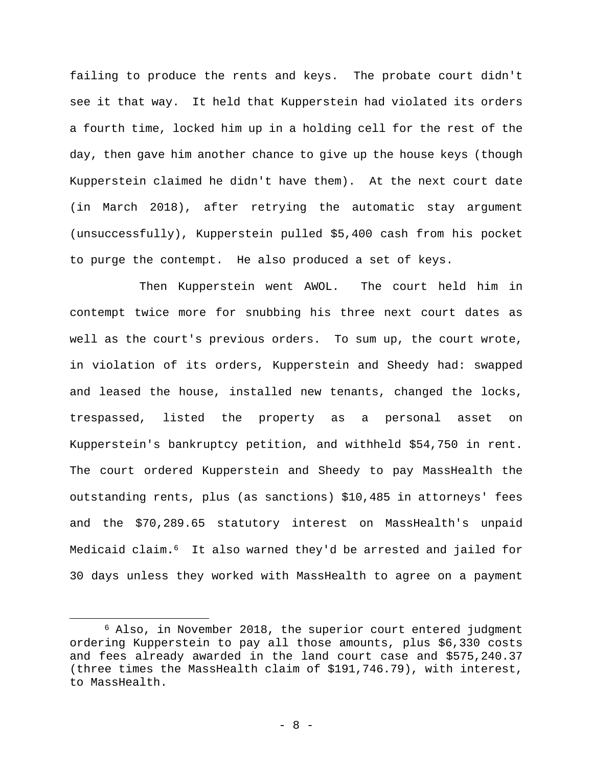failing to produce the rents and keys. The probate court didn't see it that way. It held that Kupperstein had violated its orders a fourth time, locked him up in a holding cell for the rest of the day, then gave him another chance to give up the house keys (though Kupperstein claimed he didn't have them). At the next court date (in March 2018), after retrying the automatic stay argument (unsuccessfully), Kupperstein pulled \$5,400 cash from his pocket to purge the contempt. He also produced a set of keys.

Then Kupperstein went AWOL. The court held him in contempt twice more for snubbing his three next court dates as well as the court's previous orders. To sum up, the court wrote, in violation of its orders, Kupperstein and Sheedy had: swapped and leased the house, installed new tenants, changed the locks, trespassed, listed the property as a personal asset on Kupperstein's bankruptcy petition, and withheld \$54,750 in rent. The court ordered Kupperstein and Sheedy to pay MassHealth the outstanding rents, plus (as sanctions) \$10,485 in attorneys' fees and the \$70,289.65 statutory interest on MassHealth's unpaid Medicaid claim**.**<sup>6</sup> It also warned they'd be arrested and jailed for 30 days unless they worked with MassHealth to agree on a payment

<sup>6</sup> Also, in November 2018, the superior court entered judgment ordering Kupperstein to pay all those amounts, plus \$6,330 costs and fees already awarded in the land court case and \$575,240.37 (three times the MassHealth claim of \$191,746.79), with interest, to MassHealth.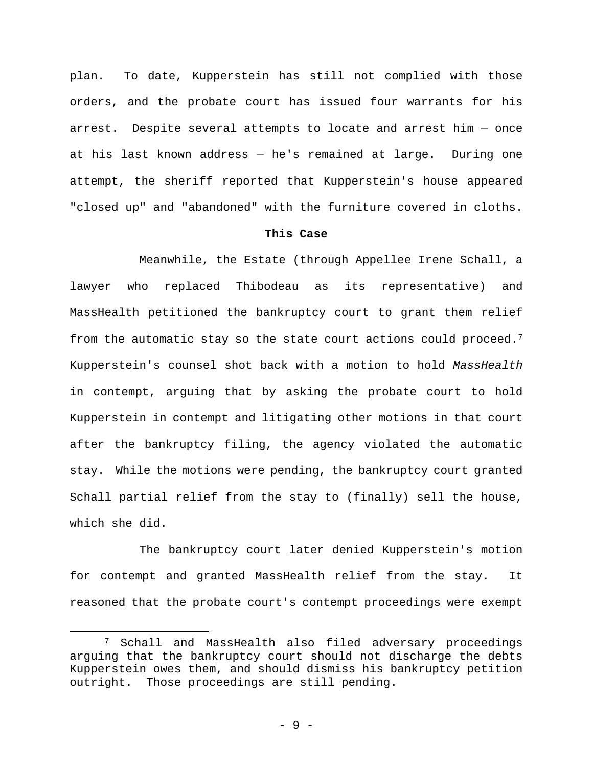plan. To date, Kupperstein has still not complied with those orders, and the probate court has issued four warrants for his arrest. Despite several attempts to locate and arrest him — once at his last known address — he's remained at large. During one attempt, the sheriff reported that Kupperstein's house appeared "closed up" and "abandoned" with the furniture covered in cloths.

# **This Case**

Meanwhile, the Estate (through Appellee Irene Schall, a lawyer who replaced Thibodeau as its representative) and MassHealth petitioned the bankruptcy court to grant them relief from the automatic stay so the state court actions could proceed.7 Kupperstein's counsel shot back with a motion to hold *MassHealth*  in contempt, arguing that by asking the probate court to hold Kupperstein in contempt and litigating other motions in that court after the bankruptcy filing, the agency violated the automatic stay. While the motions were pending, the bankruptcy court granted Schall partial relief from the stay to (finally) sell the house, which she did.

The bankruptcy court later denied Kupperstein's motion for contempt and granted MassHealth relief from the stay. It reasoned that the probate court's contempt proceedings were exempt

1

<sup>7</sup> Schall and MassHealth also filed adversary proceedings arguing that the bankruptcy court should not discharge the debts Kupperstein owes them, and should dismiss his bankruptcy petition outright. Those proceedings are still pending.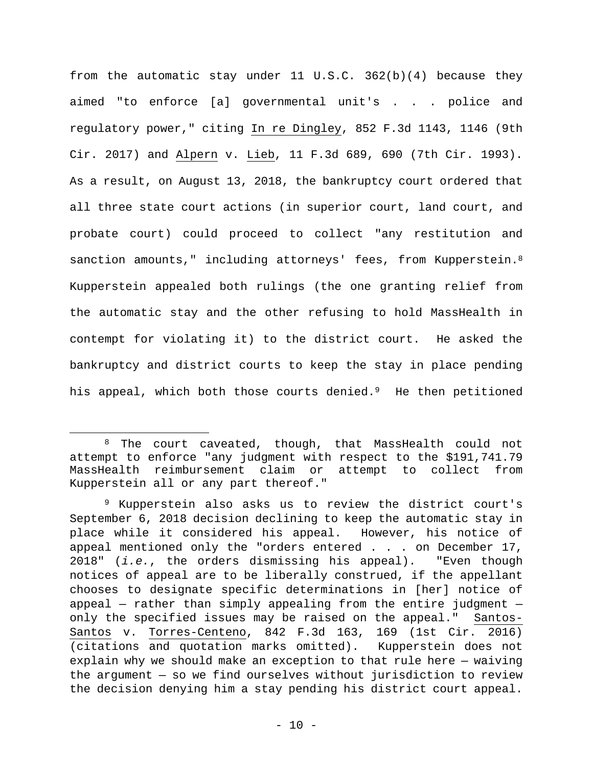from the automatic stay under 11 U.S.C. 362(b)(4) because they aimed "to enforce [a] governmental unit's . . . police and regulatory power," citing In re Dingley, 852 F.3d 1143, 1146 (9th Cir. 2017) and Alpern v. Lieb, 11 F.3d 689, 690 (7th Cir. 1993). As a result, on August 13, 2018, the bankruptcy court ordered that all three state court actions (in superior court, land court, and probate court) could proceed to collect "any restitution and sanction amounts," including attorneys' fees, from Kupperstein.<sup>8</sup> Kupperstein appealed both rulings (the one granting relief from the automatic stay and the other refusing to hold MassHealth in contempt for violating it) to the district court. He asked the bankruptcy and district courts to keep the stay in place pending his appeal, which both those courts denied.<sup>9</sup> He then petitioned

<sup>8</sup> The court caveated, though, that MassHealth could not attempt to enforce "any judgment with respect to the \$191,741.79 MassHealth reimbursement claim or attempt to collect from Kupperstein all or any part thereof."

<sup>9</sup> Kupperstein also asks us to review the district court's September 6, 2018 decision declining to keep the automatic stay in place while it considered his appeal. However, his notice of appeal mentioned only the "orders entered . . . on December 17, 2018" (*i.e.*, the orders dismissing his appeal). "Even though notices of appeal are to be liberally construed, if the appellant chooses to designate specific determinations in [her] notice of appeal  $-$  rather than simply appealing from the entire judgment  $$ only the specified issues may be raised on the appeal." Santos-Santos v. Torres-Centeno, 842 F.3d 163, 169 (1st Cir. 2016) (citations and quotation marks omitted). Kupperstein does not explain why we should make an exception to that rule here — waiving the argument — so we find ourselves without jurisdiction to review the decision denying him a stay pending his district court appeal.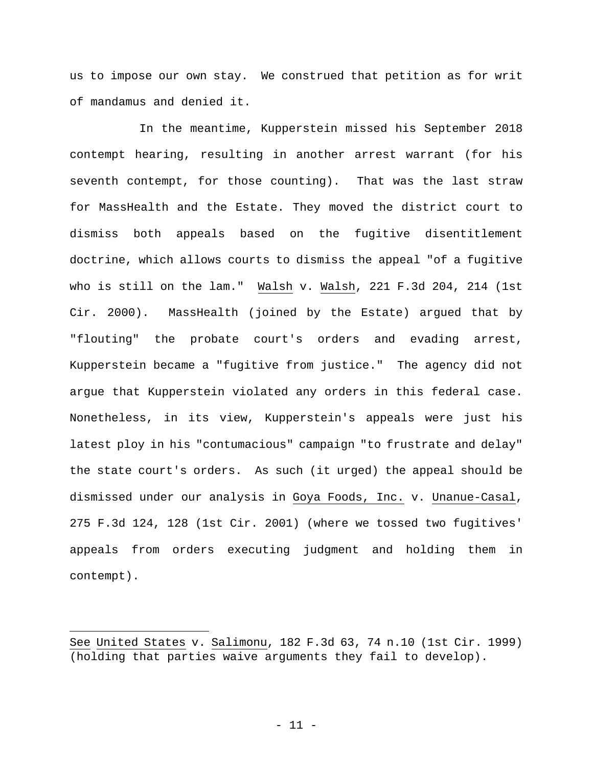us to impose our own stay. We construed that petition as for writ of mandamus and denied it.

In the meantime, Kupperstein missed his September 2018 contempt hearing, resulting in another arrest warrant (for his seventh contempt, for those counting). That was the last straw for MassHealth and the Estate. They moved the district court to dismiss both appeals based on the fugitive disentitlement doctrine, which allows courts to dismiss the appeal "of a fugitive who is still on the lam." Walsh v. Walsh, 221 F.3d 204, 214 (1st Cir. 2000). MassHealth (joined by the Estate) argued that by "flouting" the probate court's orders and evading arrest, Kupperstein became a "fugitive from justice." The agency did not argue that Kupperstein violated any orders in this federal case. Nonetheless, in its view, Kupperstein's appeals were just his latest ploy in his "contumacious" campaign "to frustrate and delay" the state court's orders. As such (it urged) the appeal should be dismissed under our analysis in Goya Foods, Inc. v. Unanue-Casal, 275 F.3d 124, 128 (1st Cir. 2001) (where we tossed two fugitives' appeals from orders executing judgment and holding them in contempt).

See United States v. Salimonu, 182 F.3d 63, 74 n.10 (1st Cir. 1999) (holding that parties waive arguments they fail to develop).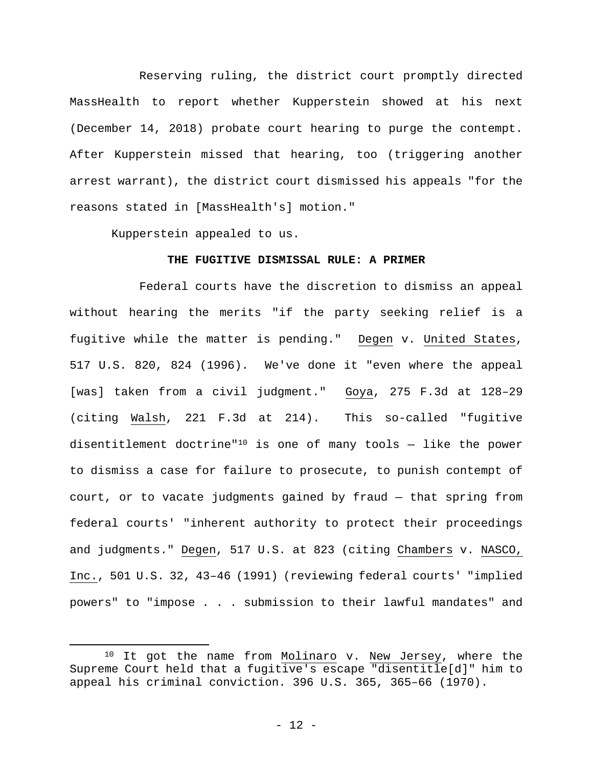Reserving ruling, the district court promptly directed MassHealth to report whether Kupperstein showed at his next (December 14, 2018) probate court hearing to purge the contempt. After Kupperstein missed that hearing, too (triggering another arrest warrant), the district court dismissed his appeals "for the reasons stated in [MassHealth's] motion."

Kupperstein appealed to us.

 $\overline{a}$ 

# **THE FUGITIVE DISMISSAL RULE: A PRIMER**

Federal courts have the discretion to dismiss an appeal without hearing the merits "if the party seeking relief is a fugitive while the matter is pending." Degen v. United States, 517 U.S. 820, 824 (1996). We've done it "even where the appeal [was] taken from a civil judgment." Goya, 275 F.3d at 128–29 (citing Walsh, 221 F.3d at 214). This so-called "fugitive disentitlement doctrine"<sup>10</sup> is one of many tools  $-$  like the power to dismiss a case for failure to prosecute, to punish contempt of court, or to vacate judgments gained by fraud — that spring from federal courts' "inherent authority to protect their proceedings and judgments." Degen, 517 U.S. at 823 (citing Chambers v. NASCO, Inc., 501 U.S. 32, 43–46 (1991) (reviewing federal courts' "implied powers" to "impose . . . submission to their lawful mandates" and

 $10$  It got the name from Molinaro v. New Jersey, where the Supreme Court held that a fugitive's escape "disentitle[d]" him to appeal his criminal conviction. 396 U.S. 365, 365–66 (1970).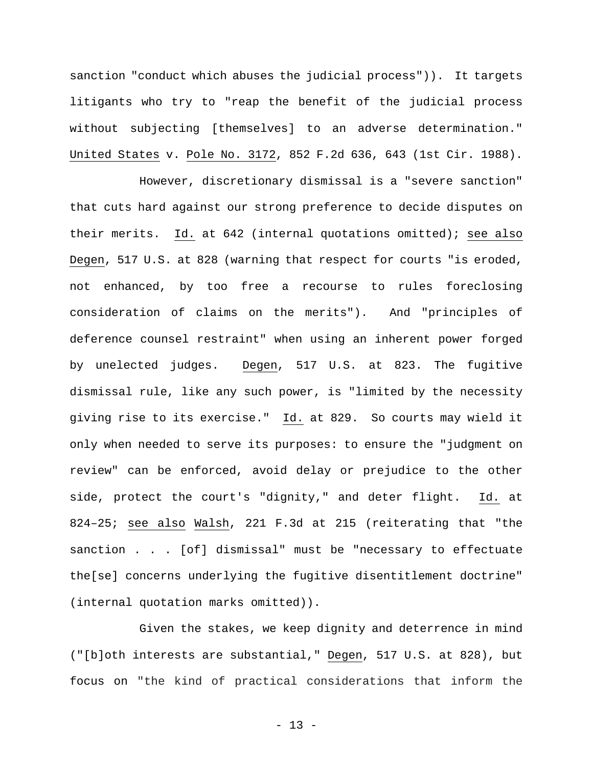sanction "conduct which abuses the judicial process")). It targets litigants who try to "reap the benefit of the judicial process without subjecting [themselves] to an adverse determination." United States v. Pole No. 3172, 852 F.2d 636, 643 (1st Cir. 1988).

However, discretionary dismissal is a "severe sanction" that cuts hard against our strong preference to decide disputes on their merits. Id. at 642 (internal quotations omitted); see also Degen, 517 U.S. at 828 (warning that respect for courts "is eroded, not enhanced, by too free a recourse to rules foreclosing consideration of claims on the merits"). And "principles of deference counsel restraint" when using an inherent power forged by unelected judges. Degen, 517 U.S. at 823. The fugitive dismissal rule, like any such power, is "limited by the necessity giving rise to its exercise." Id. at 829. So courts may wield it only when needed to serve its purposes: to ensure the "judgment on review" can be enforced, avoid delay or prejudice to the other side, protect the court's "dignity," and deter flight. Id. at 824–25; see also Walsh, 221 F.3d at 215 (reiterating that "the sanction . . . [of] dismissal" must be "necessary to effectuate the[se] concerns underlying the fugitive disentitlement doctrine" (internal quotation marks omitted)).

Given the stakes, we keep dignity and deterrence in mind ("[b]oth interests are substantial," Degen, 517 U.S. at 828), but focus on "the kind of practical considerations that inform the

- 13 -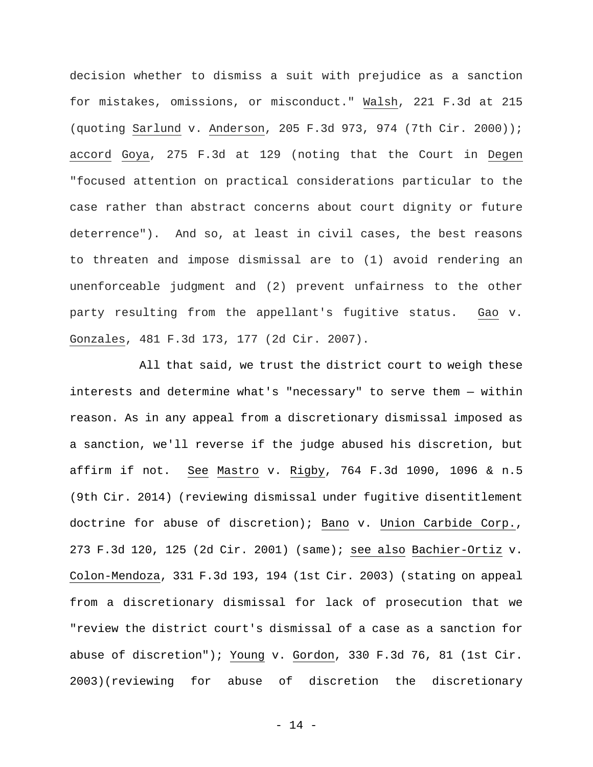decision whether to dismiss a suit with prejudice as a sanction for mistakes, omissions, or misconduct." Walsh, 221 F.3d at 215 (quoting Sarlund v. Anderson, 205 F.3d 973, 974 (7th Cir. 2000)); accord Goya, 275 F.3d at 129 (noting that the Court in Degen "focused attention on practical considerations particular to the case rather than abstract concerns about court dignity or future deterrence"). And so, at least in civil cases, the best reasons to threaten and impose dismissal are to (1) avoid rendering an unenforceable judgment and (2) prevent unfairness to the other party resulting from the appellant's fugitive status. Gao v. Gonzales, 481 F.3d 173, 177 (2d Cir. 2007).

All that said, we trust the district court to weigh these interests and determine what's "necessary" to serve them — within reason. As in any appeal from a discretionary dismissal imposed as a sanction, we'll reverse if the judge abused his discretion, but affirm if not. See Mastro v. Rigby, 764 F.3d 1090, 1096 & n.5 (9th Cir. 2014) (reviewing dismissal under fugitive disentitlement doctrine for abuse of discretion); Bano v. Union Carbide Corp., 273 F.3d 120, 125 (2d Cir. 2001) (same); see also Bachier-Ortiz v. Colon-Mendoza, 331 F.3d 193, 194 (1st Cir. 2003) (stating on appeal from a discretionary dismissal for lack of prosecution that we "review the district court's dismissal of a case as a sanction for abuse of discretion"); Young v. Gordon, 330 F.3d 76, 81 (1st Cir. 2003)(reviewing for abuse of discretion the discretionary

- 14 -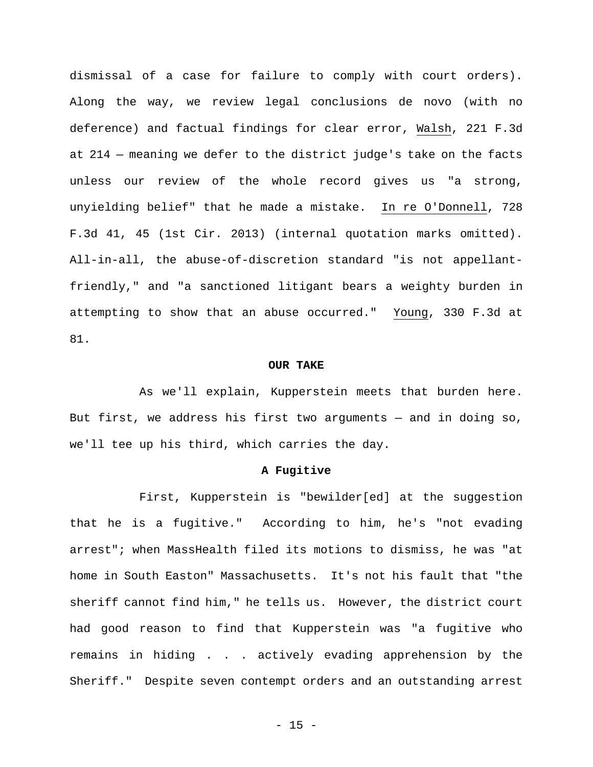dismissal of a case for failure to comply with court orders). Along the way, we review legal conclusions de novo (with no deference) and factual findings for clear error, Walsh, 221 F.3d at 214 — meaning we defer to the district judge's take on the facts unless our review of the whole record gives us "a strong, unyielding belief" that he made a mistake. In re O'Donnell, 728 F.3d 41, 45 (1st Cir. 2013) (internal quotation marks omitted). All-in-all, the abuse-of-discretion standard "is not appellantfriendly," and "a sanctioned litigant bears a weighty burden in attempting to show that an abuse occurred." Young, 330 F.3d at 81.

#### **OUR TAKE**

As we'll explain, Kupperstein meets that burden here. But first, we address his first two arguments — and in doing so, we'll tee up his third, which carries the day.

### **A Fugitive**

First, Kupperstein is "bewilder[ed] at the suggestion that he is a fugitive." According to him, he's "not evading arrest"; when MassHealth filed its motions to dismiss, he was "at home in South Easton" Massachusetts. It's not his fault that "the sheriff cannot find him," he tells us. However, the district court had good reason to find that Kupperstein was "a fugitive who remains in hiding . . . actively evading apprehension by the Sheriff." Despite seven contempt orders and an outstanding arrest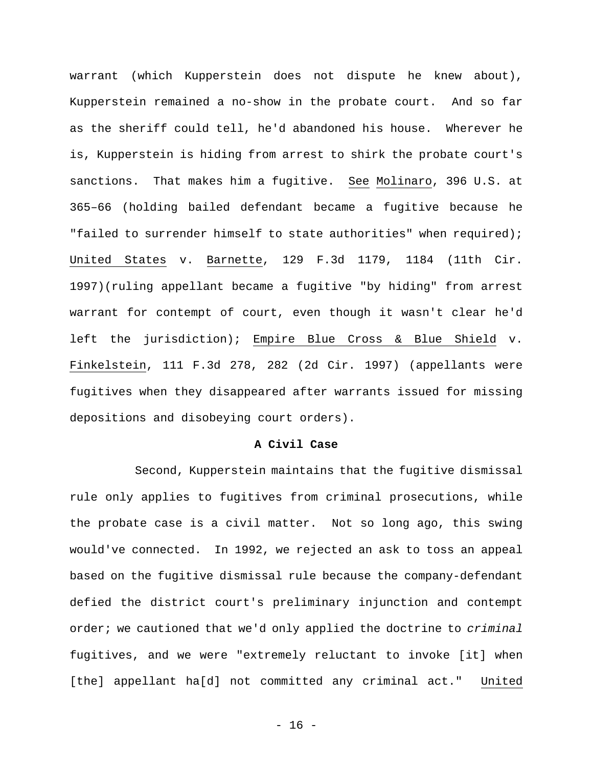warrant (which Kupperstein does not dispute he knew about), Kupperstein remained a no-show in the probate court. And so far as the sheriff could tell, he'd abandoned his house. Wherever he is, Kupperstein is hiding from arrest to shirk the probate court's sanctions. That makes him a fugitive. See Molinaro, 396 U.S. at 365–66 (holding bailed defendant became a fugitive because he "failed to surrender himself to state authorities" when required); United States v. Barnette, 129 F.3d 1179, 1184 (11th Cir. 1997)(ruling appellant became a fugitive "by hiding" from arrest warrant for contempt of court, even though it wasn't clear he'd left the jurisdiction); Empire Blue Cross & Blue Shield v. Finkelstein, 111 F.3d 278, 282 (2d Cir. 1997) (appellants were fugitives when they disappeared after warrants issued for missing depositions and disobeying court orders).

### **A Civil Case**

Second, Kupperstein maintains that the fugitive dismissal rule only applies to fugitives from criminal prosecutions, while the probate case is a civil matter. Not so long ago, this swing would've connected. In 1992, we rejected an ask to toss an appeal based on the fugitive dismissal rule because the company-defendant defied the district court's preliminary injunction and contempt order; we cautioned that we'd only applied the doctrine to *criminal* fugitives, and we were "extremely reluctant to invoke [it] when [the] appellant ha[d] not committed any criminal act." United

- 16 -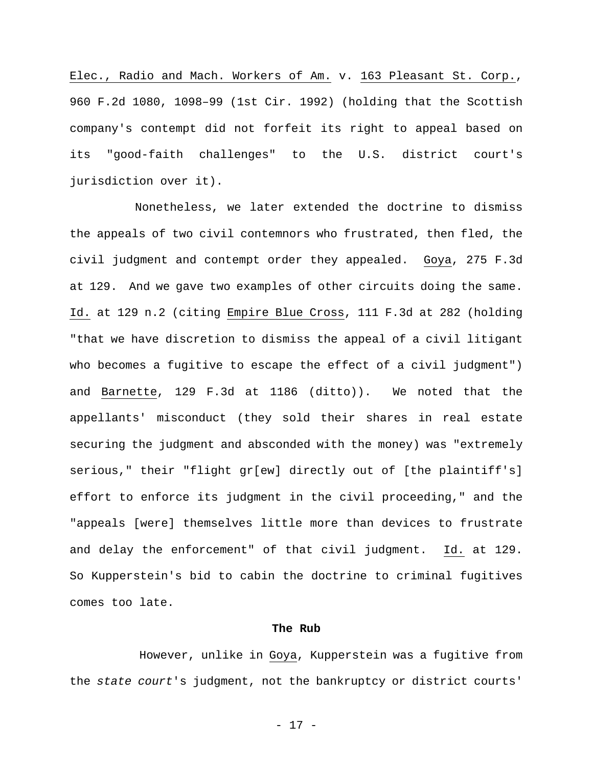Elec., Radio and Mach. Workers of Am. v. 163 Pleasant St. Corp., 960 F.2d 1080, 1098–99 (1st Cir. 1992) (holding that the Scottish company's contempt did not forfeit its right to appeal based on its "good-faith challenges" to the U.S. district court's jurisdiction over it).

Nonetheless, we later extended the doctrine to dismiss the appeals of two civil contemnors who frustrated, then fled, the civil judgment and contempt order they appealed. Goya, 275 F.3d at 129. And we gave two examples of other circuits doing the same. Id. at 129 n.2 (citing Empire Blue Cross, 111 F.3d at 282 (holding "that we have discretion to dismiss the appeal of a civil litigant who becomes a fugitive to escape the effect of a civil judgment") and Barnette, 129 F.3d at 1186 (ditto)). We noted that the appellants' misconduct (they sold their shares in real estate securing the judgment and absconded with the money) was "extremely serious," their "flight gr[ew] directly out of [the plaintiff's] effort to enforce its judgment in the civil proceeding," and the "appeals [were] themselves little more than devices to frustrate and delay the enforcement" of that civil judgment. Id. at 129. So Kupperstein's bid to cabin the doctrine to criminal fugitives comes too late.

# **The Rub**

However, unlike in Goya, Kupperstein was a fugitive from the *state court*'s judgment, not the bankruptcy or district courts'

- 17 -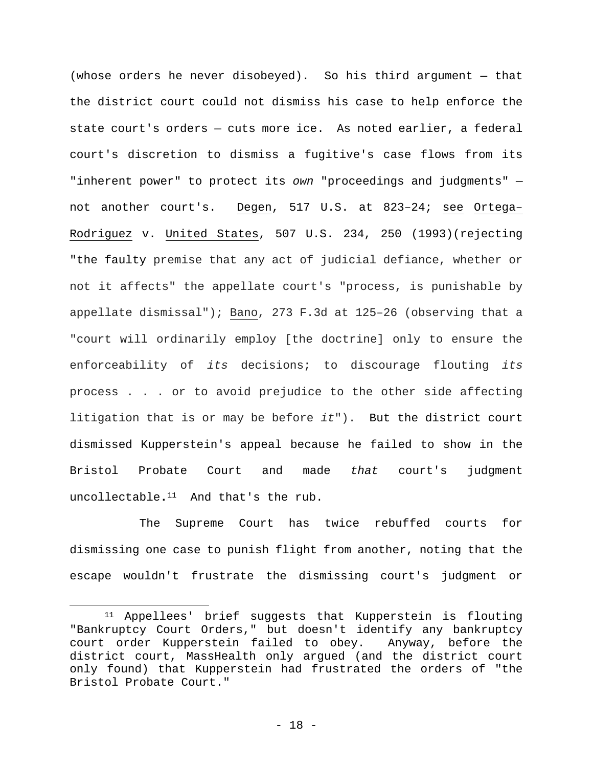(whose orders he never disobeyed). So his third argument — that the district court could not dismiss his case to help enforce the state court's orders — cuts more ice. As noted earlier, a federal court's discretion to dismiss a fugitive's case flows from its "inherent power" to protect its *own* "proceedings and judgments" not another court's. Degen, 517 U.S. at 823–24; see Ortega– Rodriguez v. United States, 507 U.S. 234, 250 (1993)(rejecting "the faulty premise that any act of judicial defiance, whether or not it affects" the appellate court's "process, is punishable by appellate dismissal"); Bano, 273 F.3d at 125–26 (observing that a "court will ordinarily employ [the doctrine] only to ensure the enforceability of *its* decisions; to discourage flouting *its* process . . . or to avoid prejudice to the other side affecting litigation that is or may be before *it*"). But the district court dismissed Kupperstein's appeal because he failed to show in the Bristol Probate Court and made *that* court's judgment uncollectable**.**<sup>11</sup> And that's the rub.

The Supreme Court has twice rebuffed courts for dismissing one case to punish flight from another, noting that the escape wouldn't frustrate the dismissing court's judgment or

1

<sup>11</sup> Appellees' brief suggests that Kupperstein is flouting "Bankruptcy Court Orders," but doesn't identify any bankruptcy court order Kupperstein failed to obey. Anyway, before the district court, MassHealth only argued (and the district court only found) that Kupperstein had frustrated the orders of "the Bristol Probate Court."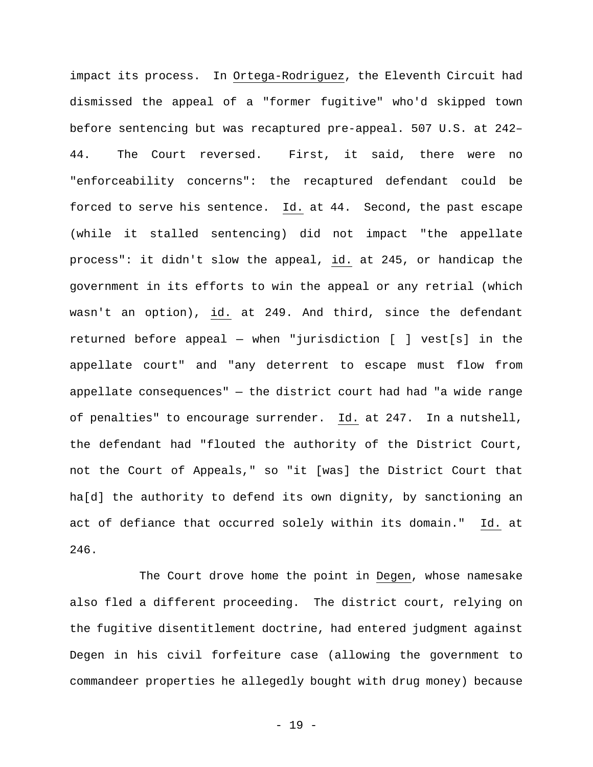impact its process. In Ortega-Rodriguez, the Eleventh Circuit had dismissed the appeal of a "former fugitive" who'd skipped town before sentencing but was recaptured pre-appeal. 507 U.S. at 242– 44. The Court reversed. First, it said, there were no "enforceability concerns": the recaptured defendant could be forced to serve his sentence. Id. at 44. Second, the past escape (while it stalled sentencing) did not impact "the appellate process": it didn't slow the appeal, id. at 245, or handicap the government in its efforts to win the appeal or any retrial (which wasn't an option), id. at 249. And third, since the defendant returned before appeal — when "jurisdiction [ ] vest[s] in the appellate court" and "any deterrent to escape must flow from appellate consequences" — the district court had had "a wide range of penalties" to encourage surrender. Id. at 247. In a nutshell, the defendant had "flouted the authority of the District Court, not the Court of Appeals," so "it [was] the District Court that ha[d] the authority to defend its own dignity, by sanctioning an act of defiance that occurred solely within its domain." Id. at 246.

The Court drove home the point in Degen, whose namesake also fled a different proceeding. The district court, relying on the fugitive disentitlement doctrine, had entered judgment against Degen in his civil forfeiture case (allowing the government to commandeer properties he allegedly bought with drug money) because

- 19 -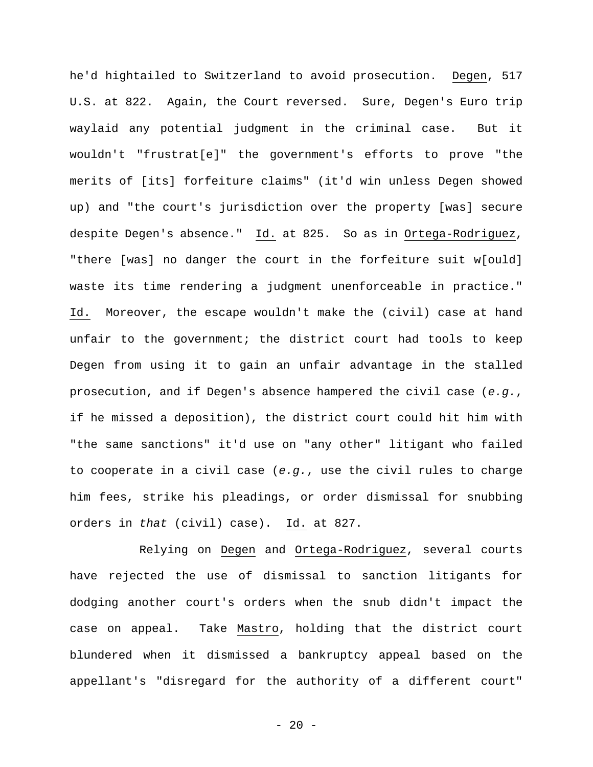he'd hightailed to Switzerland to avoid prosecution. Degen, 517 U.S. at 822. Again, the Court reversed. Sure, Degen's Euro trip waylaid any potential judgment in the criminal case. But it wouldn't "frustrat[e]" the government's efforts to prove "the merits of [its] forfeiture claims" (it'd win unless Degen showed up) and "the court's jurisdiction over the property [was] secure despite Degen's absence." Id. at 825. So as in Ortega-Rodriguez, "there [was] no danger the court in the forfeiture suit w[ould] waste its time rendering a judgment unenforceable in practice." Id. Moreover, the escape wouldn't make the (civil) case at hand unfair to the government; the district court had tools to keep Degen from using it to gain an unfair advantage in the stalled prosecution, and if Degen's absence hampered the civil case (*e.g.*, if he missed a deposition), the district court could hit him with "the same sanctions" it'd use on "any other" litigant who failed to cooperate in a civil case (*e.g.*, use the civil rules to charge him fees, strike his pleadings, or order dismissal for snubbing orders in *that* (civil) case). Id. at 827.

Relying on Degen and Ortega-Rodriguez, several courts have rejected the use of dismissal to sanction litigants for dodging another court's orders when the snub didn't impact the case on appeal. Take Mastro, holding that the district court blundered when it dismissed a bankruptcy appeal based on the appellant's "disregard for the authority of a different court"

 $- 20 -$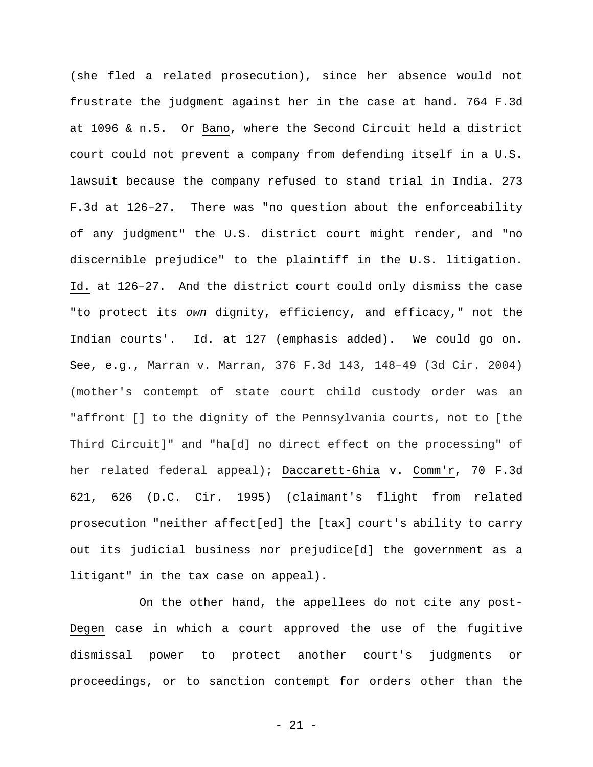(she fled a related prosecution), since her absence would not frustrate the judgment against her in the case at hand. 764 F.3d at 1096 & n.5. Or Bano, where the Second Circuit held a district court could not prevent a company from defending itself in a U.S. lawsuit because the company refused to stand trial in India. 273 F.3d at 126–27. There was "no question about the enforceability of any judgment" the U.S. district court might render, and "no discernible prejudice" to the plaintiff in the U.S. litigation. Id. at 126–27. And the district court could only dismiss the case "to protect its *own* dignity, efficiency, and efficacy," not the Indian courts'. Id. at 127 (emphasis added). We could go on. See, e.g., Marran v. Marran, 376 F.3d 143, 148–49 (3d Cir. 2004) (mother's contempt of state court child custody order was an "affront [] to the dignity of the Pennsylvania courts, not to [the Third Circuit]" and "ha[d] no direct effect on the processing" of her related federal appeal); Daccarett-Ghia v. Comm'r, 70 F.3d 621, 626 (D.C. Cir. 1995) (claimant's flight from related prosecution "neither affect[ed] the [tax] court's ability to carry out its judicial business nor prejudice[d] the government as a litigant" in the tax case on appeal).

On the other hand, the appellees do not cite any post-Degen case in which a court approved the use of the fugitive dismissal power to protect another court's judgments or proceedings, or to sanction contempt for orders other than the

- 21 -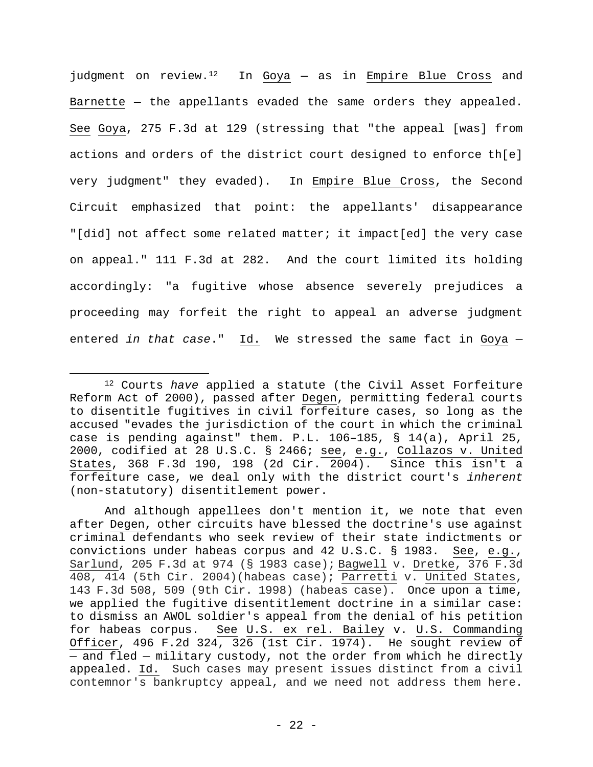judgment on review.<sup>12</sup> In Goya  $-$  as in Empire Blue Cross and Barnette — the appellants evaded the same orders they appealed. See Goya, 275 F.3d at 129 (stressing that "the appeal [was] from actions and orders of the district court designed to enforce th[e] very judgment" they evaded). In Empire Blue Cross, the Second Circuit emphasized that point: the appellants' disappearance "[did] not affect some related matter; it impact[ed] the very case on appeal." 111 F.3d at 282. And the court limited its holding accordingly: "a fugitive whose absence severely prejudices a proceeding may forfeit the right to appeal an adverse judgment entered *in that case*." Id. We stressed the same fact in Goya —

<sup>12</sup> Courts *have* applied a statute (the Civil Asset Forfeiture Reform Act of 2000), passed after Degen, permitting federal courts to disentitle fugitives in civil forfeiture cases, so long as the accused "evades the jurisdiction of the court in which the criminal case is pending against" them. P.L. 106–185, § 14(a), April 25, 2000, codified at 28 U.S.C. § 2466; see, e.g., Collazos v. United States, 368 F.3d 190, 198 (2d Cir. 2004). Since this isn't a forfeiture case, we deal only with the district court's *inherent* (non-statutory) disentitlement power.

And although appellees don't mention it, we note that even after Degen, other circuits have blessed the doctrine's use against criminal defendants who seek review of their state indictments or convictions under habeas corpus and 42 U.S.C. § 1983. See, e.g., Sarlund, 205 F.3d at 974 (§ 1983 case); Bagwell v. Dretke, 376 F.3d 408, 414 (5th Cir. 2004)(habeas case); Parretti v. United States, 143 F.3d 508, 509 (9th Cir. 1998) (habeas case). Once upon a time, we applied the fugitive disentitlement doctrine in a similar case: to dismiss an AWOL soldier's appeal from the denial of his petition for habeas corpus. See U.S. ex rel. Bailey v. U.S. Commanding Officer, 496 F.2d 324, 326 (1st Cir. 1974). He sought review of — and fled — military custody, not the order from which he directly appealed. Id. Such cases may present issues distinct from a civil contemnor's bankruptcy appeal, and we need not address them here.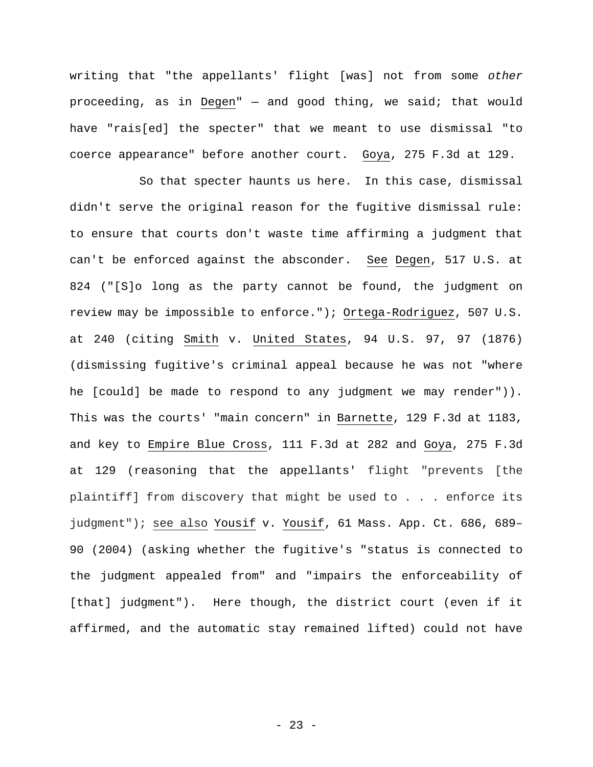writing that "the appellants' flight [was] not from some *other* proceeding, as in Degen" — and good thing, we said; that would have "rais[ed] the specter" that we meant to use dismissal "to coerce appearance" before another court. Goya, 275 F.3d at 129.

So that specter haunts us here. In this case, dismissal didn't serve the original reason for the fugitive dismissal rule: to ensure that courts don't waste time affirming a judgment that can't be enforced against the absconder. See Degen, 517 U.S. at 824 ("[S]o long as the party cannot be found, the judgment on review may be impossible to enforce."); Ortega-Rodriguez, 507 U.S. at 240 (citing Smith v. United States, 94 U.S. 97, 97 (1876) (dismissing fugitive's criminal appeal because he was not "where he [could] be made to respond to any judgment we may render")). This was the courts' "main concern" in Barnette, 129 F.3d at 1183, and key to Empire Blue Cross, 111 F.3d at 282 and Goya, 275 F.3d at 129 (reasoning that the appellants' flight "prevents [the plaintiff] from discovery that might be used to . . . enforce its judgment"); see also Yousif v. Yousif, 61 Mass. App. Ct. 686, 689– 90 (2004) (asking whether the fugitive's "status is connected to the judgment appealed from" and "impairs the enforceability of [that] judgment"). Here though, the district court (even if it affirmed, and the automatic stay remained lifted) could not have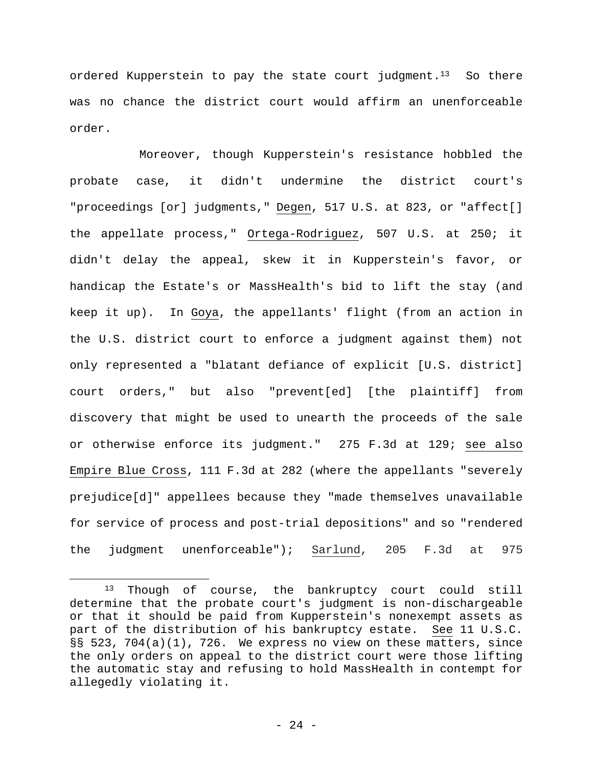ordered Kupperstein to pay the state court judgment.<sup>13</sup> So there was no chance the district court would affirm an unenforceable order.

Moreover, though Kupperstein's resistance hobbled the probate case, it didn't undermine the district court's "proceedings [or] judgments," Degen, 517 U.S. at 823, or "affect[] the appellate process," Ortega-Rodriguez, 507 U.S. at 250; it didn't delay the appeal, skew it in Kupperstein's favor, or handicap the Estate's or MassHealth's bid to lift the stay (and keep it up). In Goya, the appellants' flight (from an action in the U.S. district court to enforce a judgment against them) not only represented a "blatant defiance of explicit [U.S. district] court orders," but also "prevent[ed] [the plaintiff] from discovery that might be used to unearth the proceeds of the sale or otherwise enforce its judgment." 275 F.3d at 129; see also Empire Blue Cross, 111 F.3d at 282 (where the appellants "severely prejudice[d]" appellees because they "made themselves unavailable for service of process and post-trial depositions" and so "rendered the judgment unenforceable"); Sarlund, 205 F.3d at 975

<sup>13</sup> Though of course, the bankruptcy court could still determine that the probate court's judgment is non-dischargeable or that it should be paid from Kupperstein's nonexempt assets as part of the distribution of his bankruptcy estate. See 11 U.S.C. §§ 523, 704(a)(1), 726. We express no view on these matters, since the only orders on appeal to the district court were those lifting the automatic stay and refusing to hold MassHealth in contempt for allegedly violating it.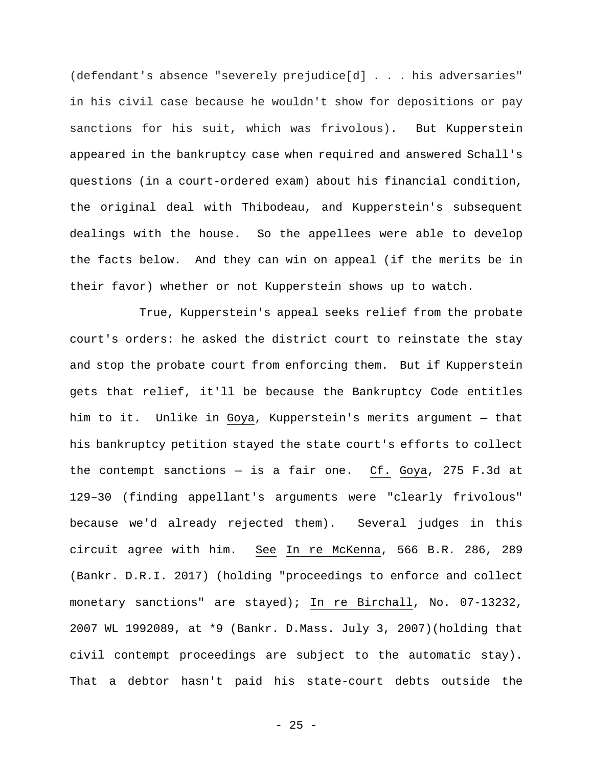(defendant's absence "severely prejudice[d] . . . his adversaries" in his civil case because he wouldn't show for depositions or pay sanctions for his suit, which was frivolous). But Kupperstein appeared in the bankruptcy case when required and answered Schall's questions (in a court-ordered exam) about his financial condition, the original deal with Thibodeau, and Kupperstein's subsequent dealings with the house. So the appellees were able to develop the facts below. And they can win on appeal (if the merits be in their favor) whether or not Kupperstein shows up to watch.

True, Kupperstein's appeal seeks relief from the probate court's orders: he asked the district court to reinstate the stay and stop the probate court from enforcing them. But if Kupperstein gets that relief, it'll be because the Bankruptcy Code entitles him to it. Unlike in Goya, Kupperstein's merits argument — that his bankruptcy petition stayed the state court's efforts to collect the contempt sanctions — is a fair one. Cf. Goya, 275 F.3d at 129–30 (finding appellant's arguments were "clearly frivolous" because we'd already rejected them). Several judges in this circuit agree with him. See In re McKenna, 566 B.R. 286, 289 (Bankr. D.R.I. 2017) (holding "proceedings to enforce and collect monetary sanctions" are stayed); In re Birchall, No. 07-13232, 2007 WL 1992089, at \*9 (Bankr. D.Mass. July 3, 2007)(holding that civil contempt proceedings are subject to the automatic stay). That a debtor hasn't paid his state-court debts outside the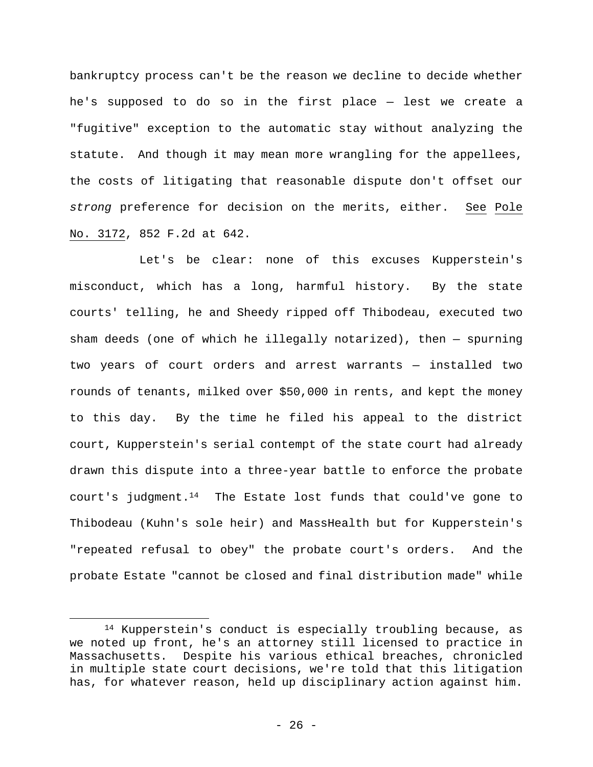bankruptcy process can't be the reason we decline to decide whether he's supposed to do so in the first place — lest we create a "fugitive" exception to the automatic stay without analyzing the statute. And though it may mean more wrangling for the appellees, the costs of litigating that reasonable dispute don't offset our *strong* preference for decision on the merits, either. See Pole No. 3172, 852 F.2d at 642.

Let's be clear: none of this excuses Kupperstein's misconduct, which has a long, harmful history. By the state courts' telling, he and Sheedy ripped off Thibodeau, executed two sham deeds (one of which he illegally notarized), then — spurning two years of court orders and arrest warrants — installed two rounds of tenants, milked over \$50,000 in rents, and kept the money to this day. By the time he filed his appeal to the district court, Kupperstein's serial contempt of the state court had already drawn this dispute into a three-year battle to enforce the probate court's judgment.<sup>14</sup> The Estate lost funds that could've gone to Thibodeau (Kuhn's sole heir) and MassHealth but for Kupperstein's "repeated refusal to obey" the probate court's orders. And the probate Estate "cannot be closed and final distribution made" while

<sup>14</sup> Kupperstein's conduct is especially troubling because, as we noted up front, he's an attorney still licensed to practice in Massachusetts. Despite his various ethical breaches, chronicled in multiple state court decisions, we're told that this litigation has, for whatever reason, held up disciplinary action against him.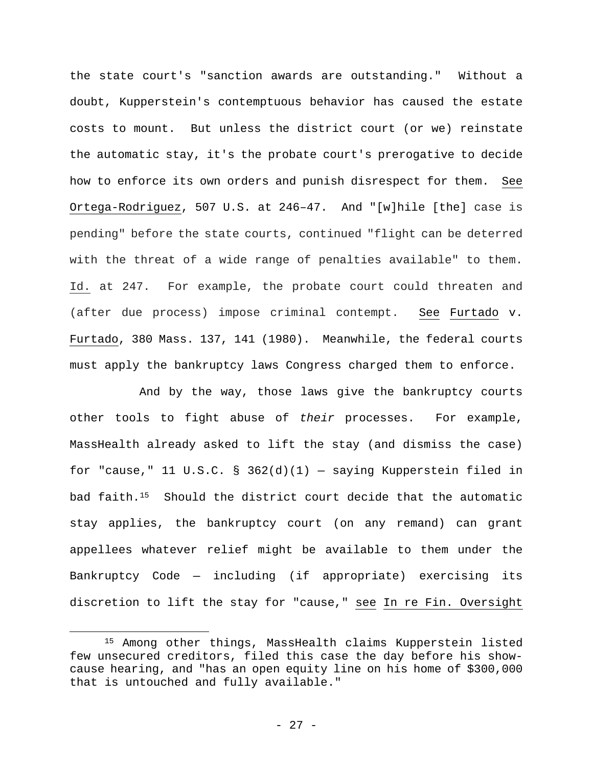the state court's "sanction awards are outstanding." Without a doubt, Kupperstein's contemptuous behavior has caused the estate costs to mount.But unless the district court (or we) reinstate the automatic stay, it's the probate court's prerogative to decide how to enforce its own orders and punish disrespect for them. See Ortega-Rodriguez, 507 U.S. at 246–47. And "[w]hile [the] case is pending" before the state courts, continued "flight can be deterred with the threat of a wide range of penalties available" to them. Id. at 247. For example, the probate court could threaten and (after due process) impose criminal contempt. See Furtado v. Furtado, 380 Mass. 137, 141 (1980). Meanwhile, the federal courts must apply the bankruptcy laws Congress charged them to enforce.

And by the way, those laws give the bankruptcy courts other tools to fight abuse of *their* processes. For example, MassHealth already asked to lift the stay (and dismiss the case) for "cause," 11 U.S.C. §  $362(d)(1)$  - saying Kupperstein filed in bad faith.15Should the district court decide that the automatic stay applies, the bankruptcy court (on any remand) can grant appellees whatever relief might be available to them under the Bankruptcy Code — including (if appropriate) exercising its discretion to lift the stay for "cause," see In re Fin. Oversight

<sup>15</sup> Among other things, MassHealth claims Kupperstein listed few unsecured creditors, filed this case the day before his showcause hearing, and "has an open equity line on his home of \$300,000 that is untouched and fully available."